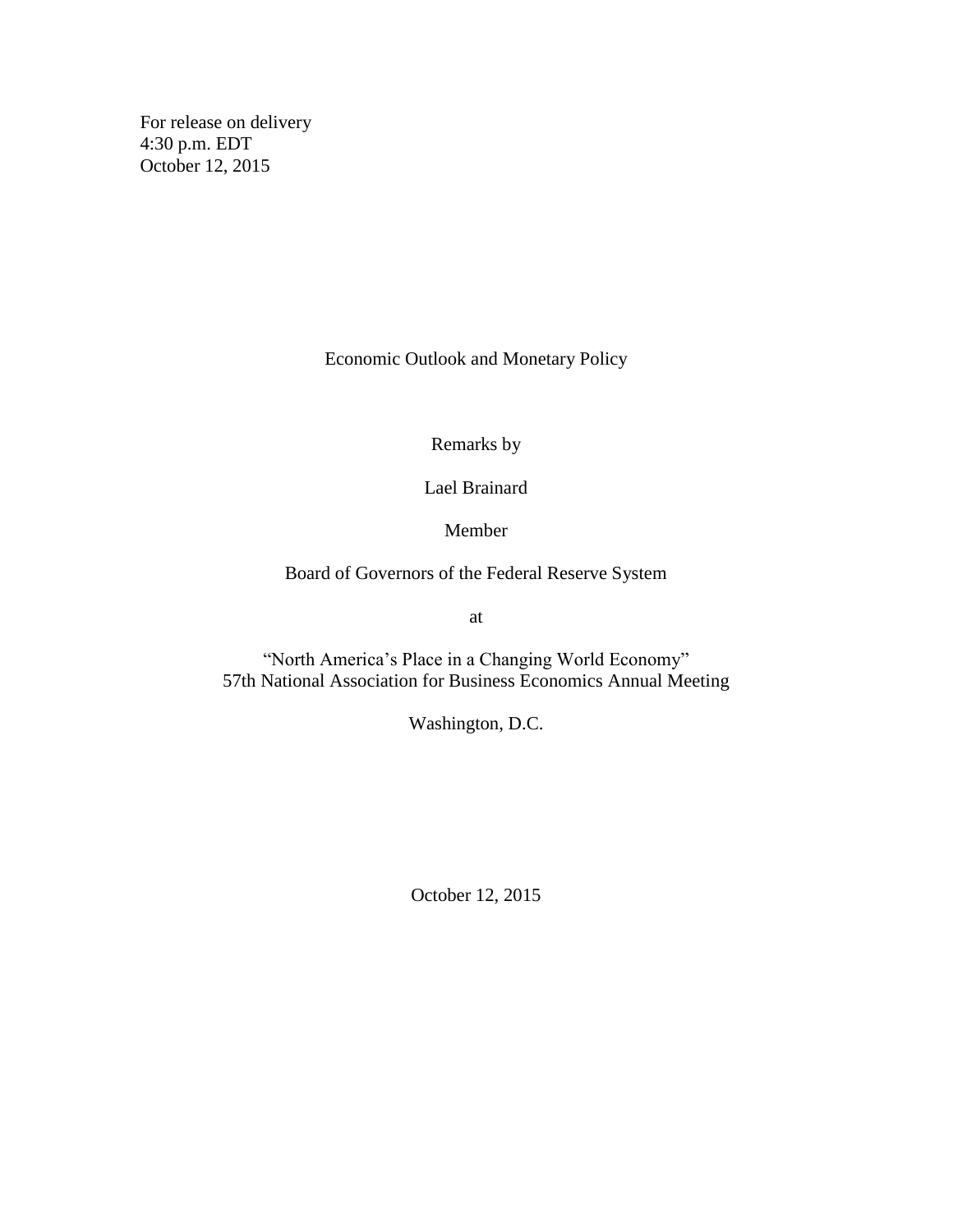For release on delivery 4:30 p.m. EDT October 12, 2015

Economic Outlook and Monetary Policy

Remarks by

Lael Brainard

Member

Board of Governors of the Federal Reserve System

at

"North America's Place in a Changing World Economy" 57th National Association for Business Economics Annual Meeting

Washington, D.C.

October 12, 2015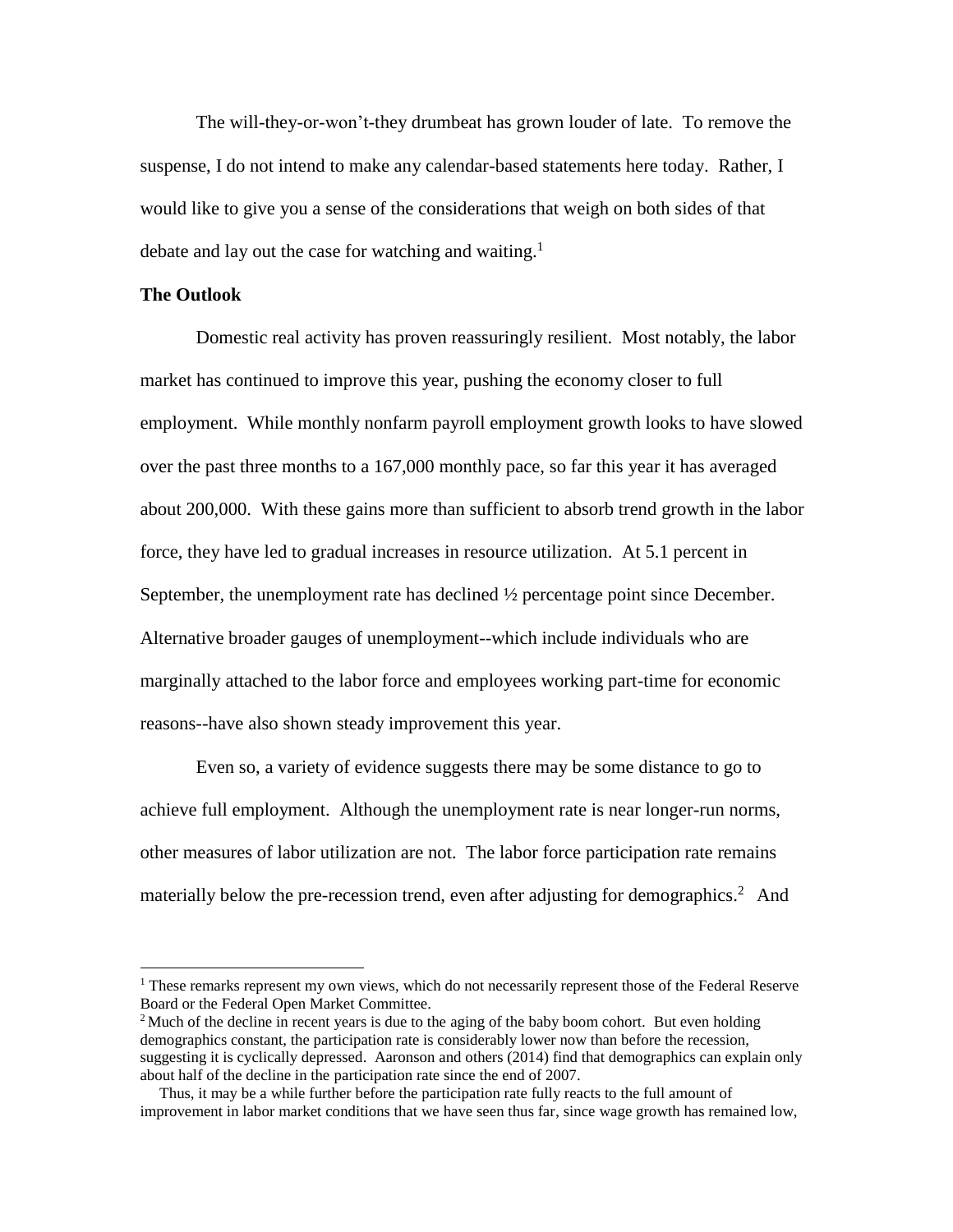The will-they-or-won't-they drumbeat has grown louder of late. To remove the suspense, I do not intend to make any calendar-based statements here today. Rather, I would like to give you a sense of the considerations that weigh on both sides of that debate and lay out the case for watching and waiting.<sup>1</sup>

## **The Outlook**

 $\overline{a}$ 

Domestic real activity has proven reassuringly resilient.Most notably, the labor market has continued to improve this year, pushing the economy closer to full employment. While monthly nonfarm payroll employment growth looks to have slowed over the past three months to a 167,000 monthly pace, so far this year it has averaged about 200,000. With these gains more than sufficient to absorb trend growth in the labor force, they have led to gradual increases in resource utilization. At 5.1 percent in September, the unemployment rate has declined ½ percentage point since December. Alternative broader gauges of unemployment--which include individuals who are marginally attached to the labor force and employees working part-time for economic reasons--have also shown steady improvement this year.

Even so, a variety of evidence suggests there may be some distance to go to achieve full employment. Although the unemployment rate is near longer-run norms, other measures of labor utilization are not. The labor force participation rate remains materially below the pre-recession trend, even after adjusting for demographics.<sup>2</sup> And

 $<sup>1</sup>$  These remarks represent my own views, which do not necessarily represent those of the Federal Reserve</sup> Board or the Federal Open Market Committee.

 $2$  Much of the decline in recent years is due to the aging of the baby boom cohort. But even holding demographics constant, the participation rate is considerably lower now than before the recession, suggesting it is cyclically depressed. Aaronson and others (2014) find that demographics can explain only about half of the decline in the participation rate since the end of 2007.

Thus, it may be a while further before the participation rate fully reacts to the full amount of improvement in labor market conditions that we have seen thus far, since wage growth has remained low,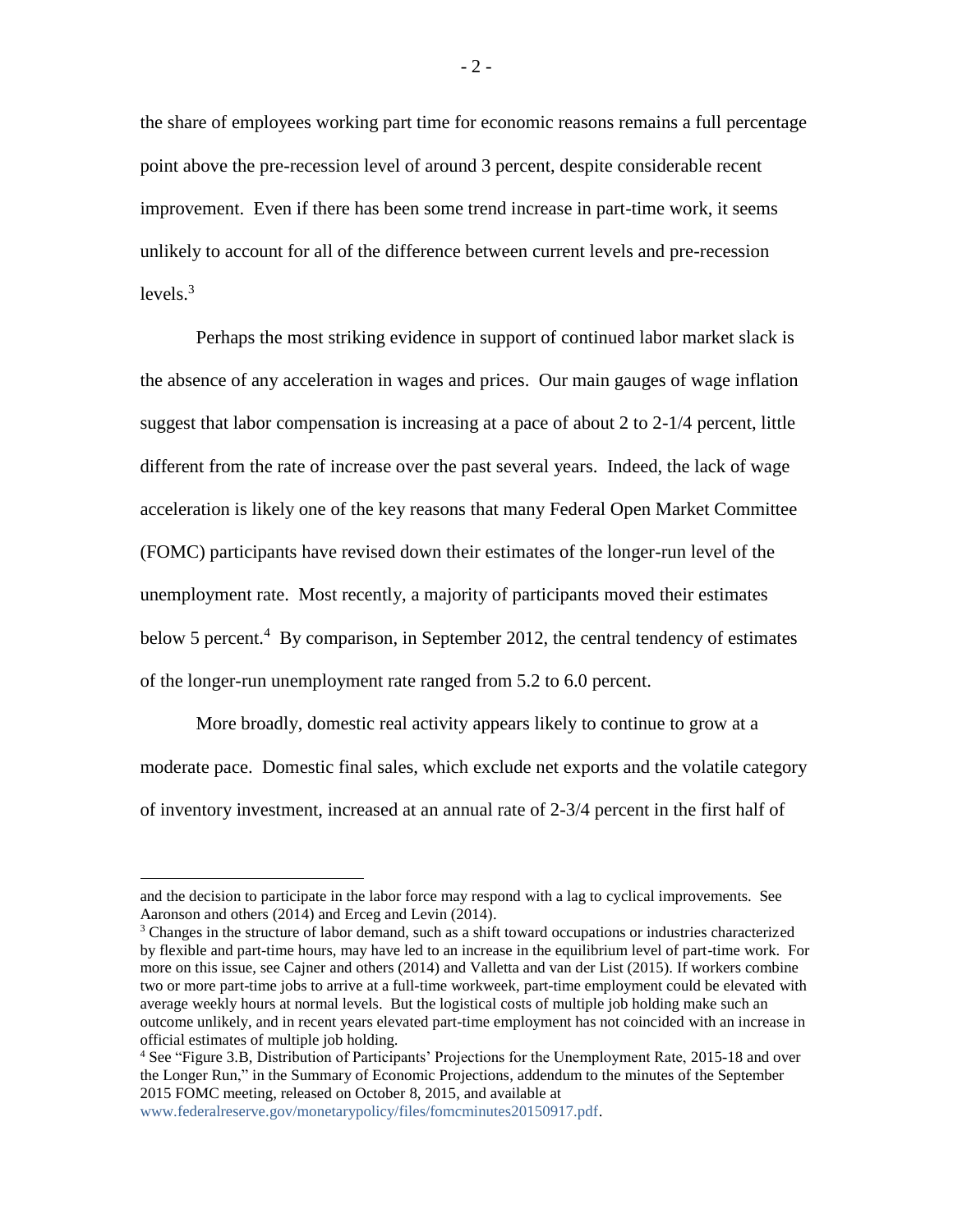the share of employees working part time for economic reasons remains a full percentage point above the pre-recession level of around 3 percent, despite considerable recent improvement. Even if there has been some trend increase in part-time work, it seems unlikely to account for all of the difference between current levels and pre-recession levels. $3$ 

Perhaps the most striking evidence in support of continued labor market slack is the absence of any acceleration in wages and prices. Our main gauges of wage inflation suggest that labor compensation is increasing at a pace of about 2 to 2-1/4 percent, little different from the rate of increase over the past several years. Indeed, the lack of wage acceleration is likely one of the key reasons that many Federal Open Market Committee (FOMC) participants have revised down their estimates of the longer-run level of the unemployment rate. Most recently, a majority of participants moved their estimates below 5 percent.<sup>4</sup> By comparison, in September 2012, the central tendency of estimates of the longer-run unemployment rate ranged from 5.2 to 6.0 percent.

More broadly, domestic real activity appears likely to continue to grow at a moderate pace. Domestic final sales, which exclude net exports and the volatile category of inventory investment, increased at an annual rate of 2-3/4 percent in the first half of

[www.federalreserve.gov/monetarypolicy/files/fomcminutes20150917.pdf.](http://www.federalreserve.gov/monetarypolicy/files/fomcminutes20150917.pdf)

 $\overline{a}$ 

and the decision to participate in the labor force may respond with a lag to cyclical improvements. See Aaronson and others (2014) and Erceg and Levin (2014).

<sup>&</sup>lt;sup>3</sup> Changes in the structure of labor demand, such as a shift toward occupations or industries characterized by flexible and part-time hours, may have led to an increase in the equilibrium level of part-time work. For more on this issue, see Cajner and others (2014) and Valletta and van der List (2015). If workers combine two or more part-time jobs to arrive at a full-time workweek, part-time employment could be elevated with average weekly hours at normal levels. But the logistical costs of multiple job holding make such an outcome unlikely, and in recent years elevated part-time employment has not coincided with an increase in official estimates of multiple job holding.

<sup>4</sup> See "Figure 3.B, Distribution of Participants' Projections for the Unemployment Rate, 2015-18 and over the Longer Run," in the Summary of Economic Projections, addendum to the minutes of the September 2015 FOMC meeting, released on October 8, 2015, and available at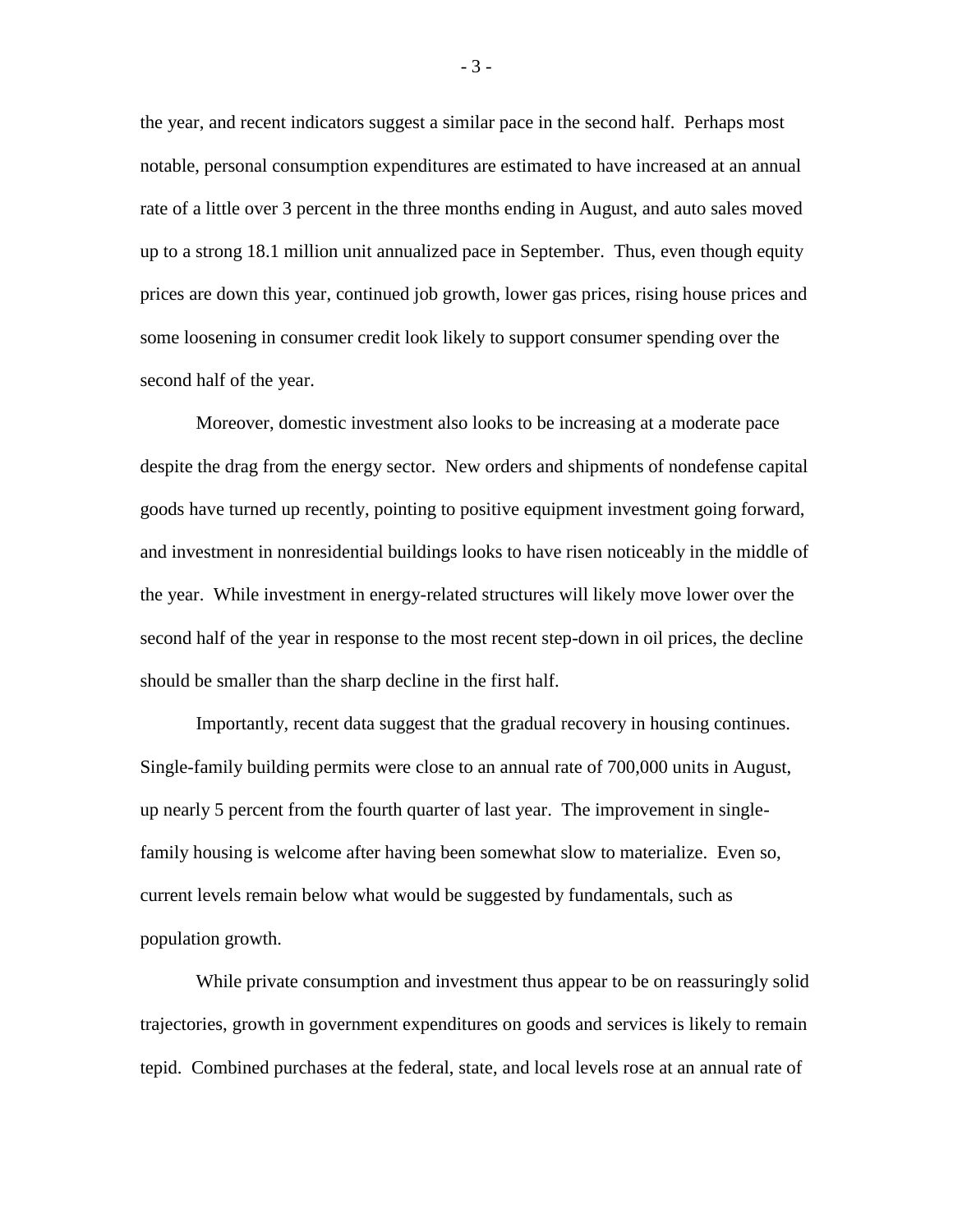the year, and recent indicators suggest a similar pace in the second half. Perhaps most notable, personal consumption expenditures are estimated to have increased at an annual rate of a little over 3 percent in the three months ending in August, and auto sales moved up to a strong 18.1 million unit annualized pace in September. Thus, even though equity prices are down this year, continued job growth, lower gas prices, rising house prices and some loosening in consumer credit look likely to support consumer spending over the second half of the year.

Moreover, domestic investment also looks to be increasing at a moderate pace despite the drag from the energy sector. New orders and shipments of nondefense capital goods have turned up recently, pointing to positive equipment investment going forward, and investment in nonresidential buildings looks to have risen noticeably in the middle of the year. While investment in energy-related structures will likely move lower over the second half of the year in response to the most recent step-down in oil prices, the decline should be smaller than the sharp decline in the first half.

Importantly, recent data suggest that the gradual recovery in housing continues. Single-family building permits were close to an annual rate of 700,000 units in August, up nearly 5 percent from the fourth quarter of last year. The improvement in singlefamily housing is welcome after having been somewhat slow to materialize. Even so, current levels remain below what would be suggested by fundamentals, such as population growth.

While private consumption and investment thus appear to be on reassuringly solid trajectories, growth in government expenditures on goods and services is likely to remain tepid. Combined purchases at the federal, state, and local levels rose at an annual rate of

- 3 -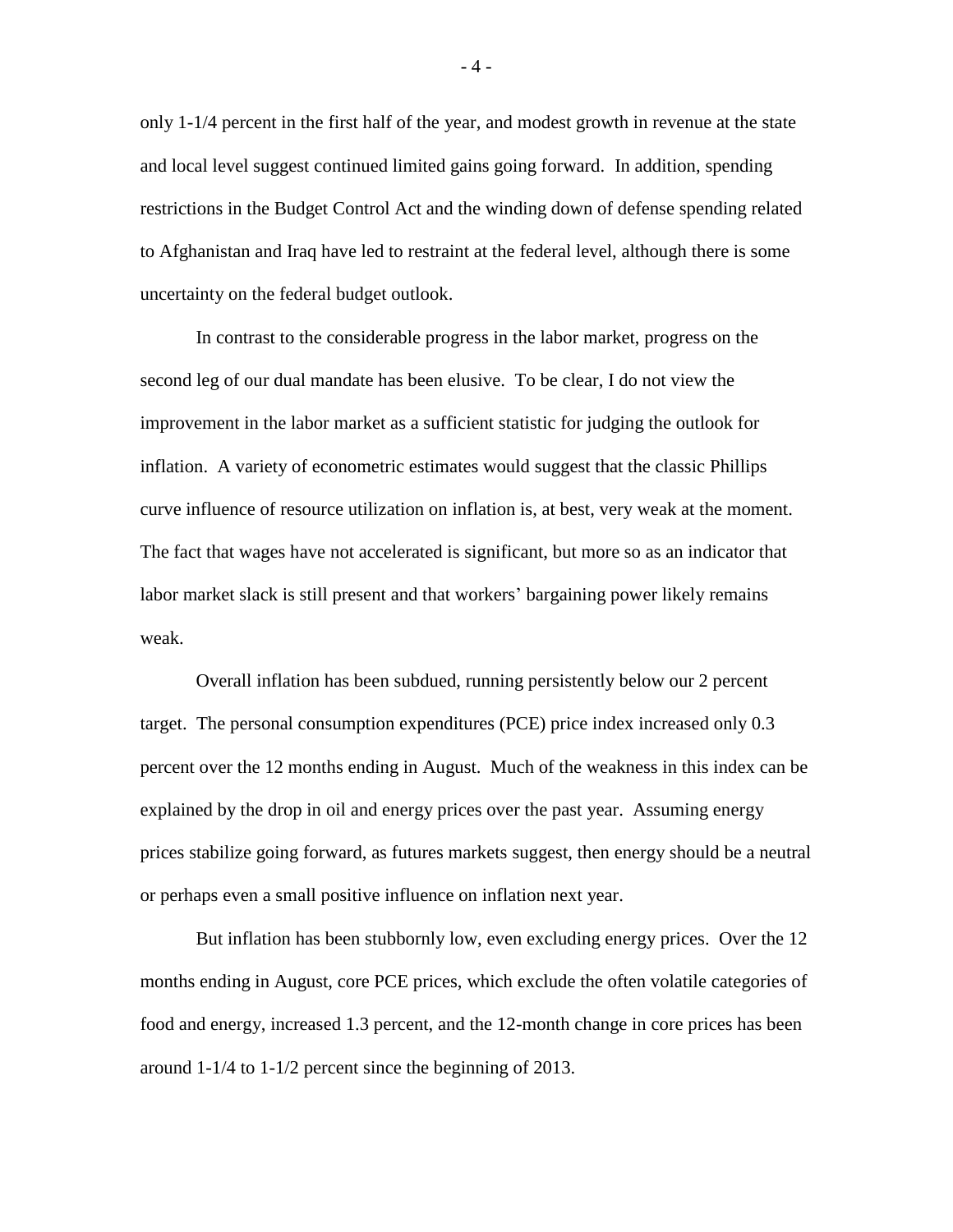only 1-1/4 percent in the first half of the year, and modest growth in revenue at the state and local level suggest continued limited gains going forward. In addition, spending restrictions in the Budget Control Act and the winding down of defense spending related to Afghanistan and Iraq have led to restraint at the federal level, although there is some uncertainty on the federal budget outlook.

In contrast to the considerable progress in the labor market, progress on the second leg of our dual mandate has been elusive. To be clear, I do not view the improvement in the labor market as a sufficient statistic for judging the outlook for inflation. A variety of econometric estimates would suggest that the classic Phillips curve influence of resource utilization on inflation is, at best, very weak at the moment. The fact that wages have not accelerated is significant, but more so as an indicator that labor market slack is still present and that workers' bargaining power likely remains weak.

Overall inflation has been subdued, running persistently below our 2 percent target. The personal consumption expenditures (PCE) price index increased only 0.3 percent over the 12 months ending in August. Much of the weakness in this index can be explained by the drop in oil and energy prices over the past year. Assuming energy prices stabilize going forward, as futures markets suggest, then energy should be a neutral or perhaps even a small positive influence on inflation next year.

But inflation has been stubbornly low, even excluding energy prices. Over the 12 months ending in August, core PCE prices, which exclude the often volatile categories of food and energy, increased 1.3 percent, and the 12-month change in core prices has been around 1-1/4 to 1-1/2 percent since the beginning of 2013.

 $-4-$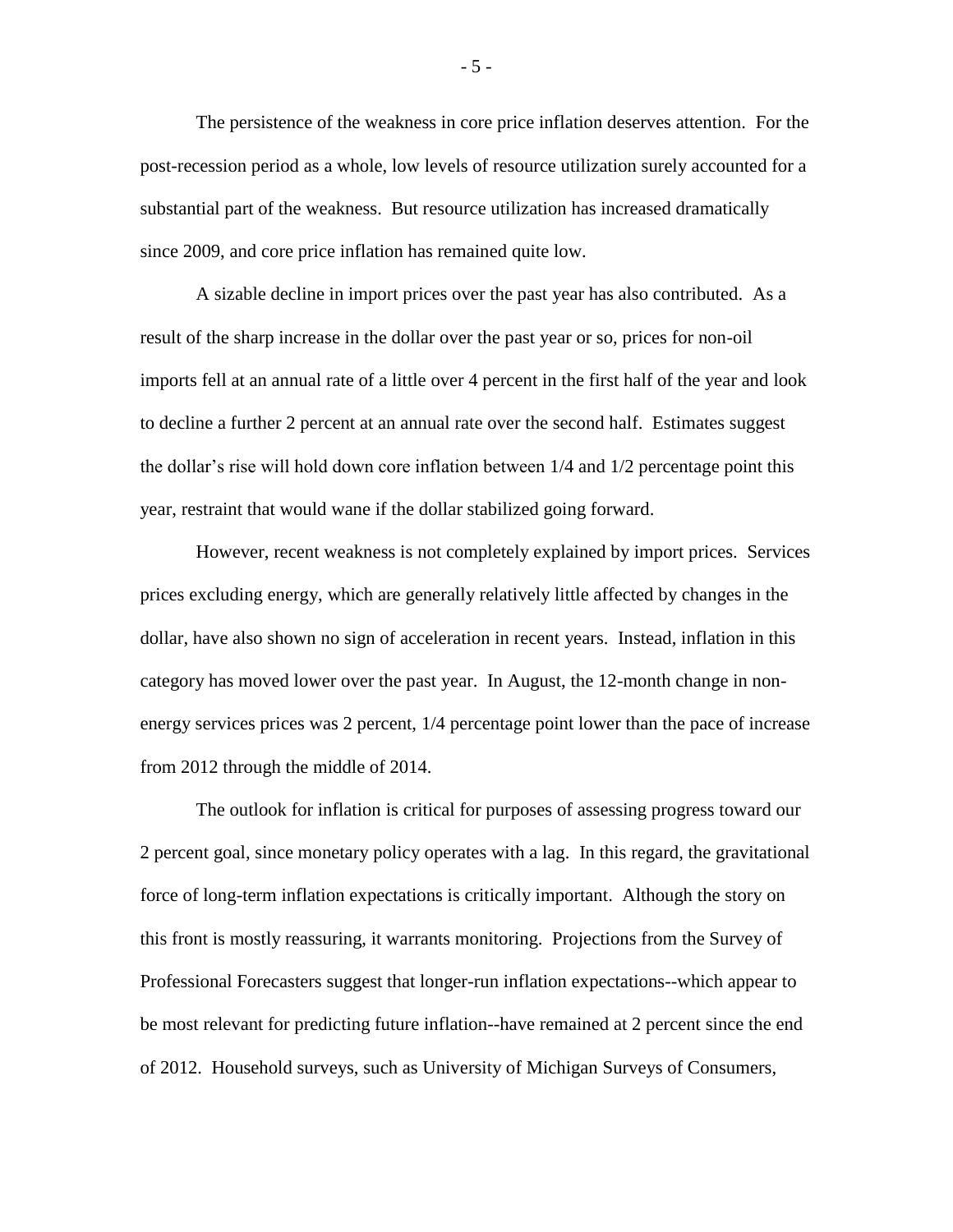The persistence of the weakness in core price inflation deserves attention. For the post-recession period as a whole, low levels of resource utilization surely accounted for a substantial part of the weakness. But resource utilization has increased dramatically since 2009, and core price inflation has remained quite low.

A sizable decline in import prices over the past year has also contributed. As a result of the sharp increase in the dollar over the past year or so, prices for non-oil imports fell at an annual rate of a little over 4 percent in the first half of the year and look to decline a further 2 percent at an annual rate over the second half. Estimates suggest the dollar's rise will hold down core inflation between 1/4 and 1/2 percentage point this year, restraint that would wane if the dollar stabilized going forward.

However, recent weakness is not completely explained by import prices. Services prices excluding energy, which are generally relatively little affected by changes in the dollar, have also shown no sign of acceleration in recent years. Instead, inflation in this category has moved lower over the past year. In August, the 12-month change in nonenergy services prices was 2 percent, 1/4 percentage point lower than the pace of increase from 2012 through the middle of 2014.

The outlook for inflation is critical for purposes of assessing progress toward our 2 percent goal, since monetary policy operates with a lag. In this regard, the gravitational force of long-term inflation expectations is critically important. Although the story on this front is mostly reassuring, it warrants monitoring. Projections from the Survey of Professional Forecasters suggest that longer-run inflation expectations--which appear to be most relevant for predicting future inflation--have remained at 2 percent since the end of 2012. Household surveys, such as University of Michigan Surveys of Consumers,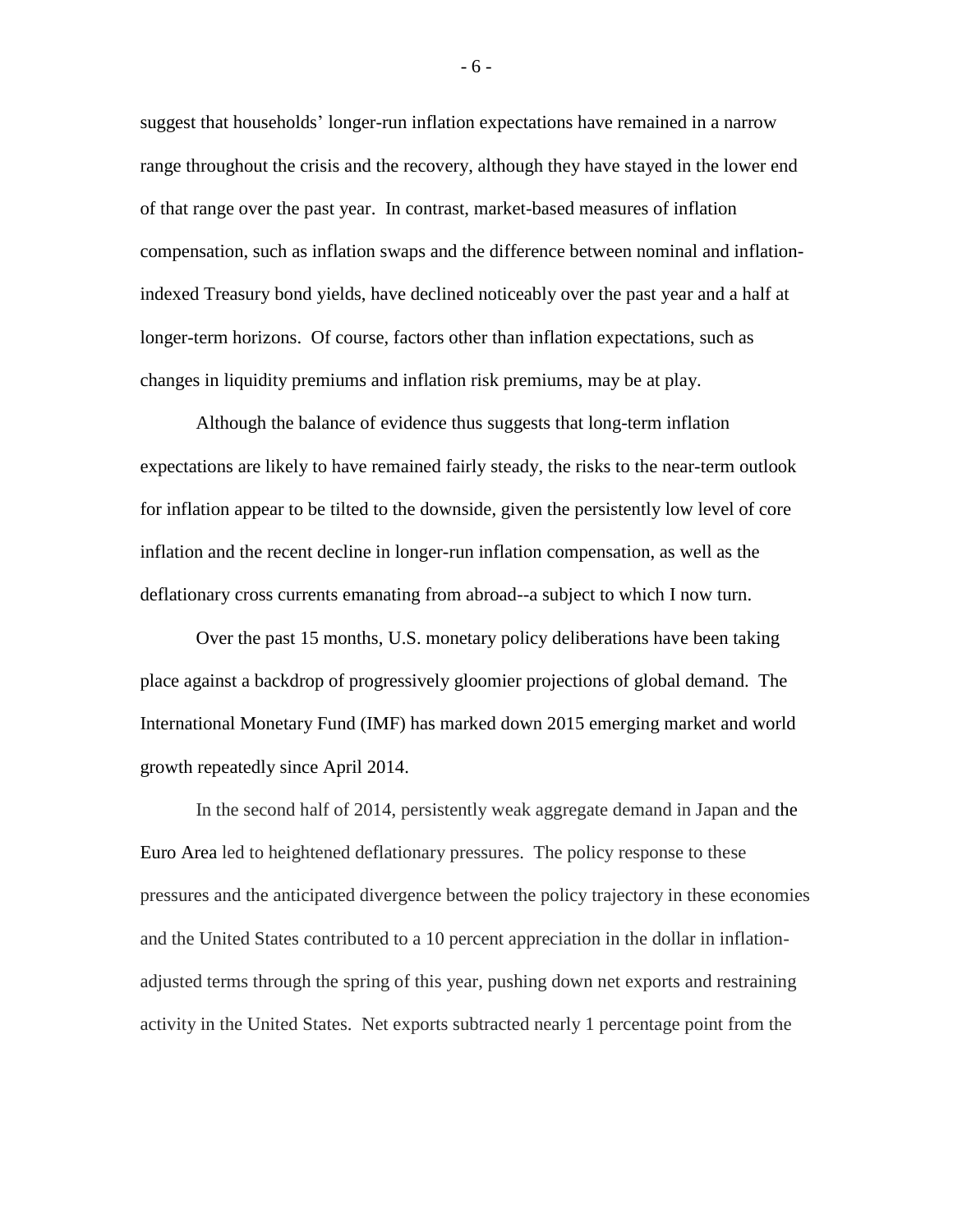suggest that households' longer-run inflation expectations have remained in a narrow range throughout the crisis and the recovery, although they have stayed in the lower end of that range over the past year. In contrast, market-based measures of inflation compensation, such as inflation swaps and the difference between nominal and inflationindexed Treasury bond yields, have declined noticeably over the past year and a half at longer-term horizons. Of course, factors other than inflation expectations, such as changes in liquidity premiums and inflation risk premiums, may be at play.

Although the balance of evidence thus suggests that long-term inflation expectations are likely to have remained fairly steady, the risks to the near-term outlook for inflation appear to be tilted to the downside, given the persistently low level of core inflation and the recent decline in longer-run inflation compensation, as well as the deflationary cross currents emanating from abroad--a subject to which I now turn.

Over the past 15 months, U.S. monetary policy deliberations have been taking place against a backdrop of progressively gloomier projections of global demand. The International Monetary Fund (IMF) has marked down 2015 emerging market and world growth repeatedly since April 2014.

In the second half of 2014, persistently weak aggregate demand in Japan and the Euro Area led to heightened deflationary pressures. The policy response to these pressures and the anticipated divergence between the policy trajectory in these economies and the United States contributed to a 10 percent appreciation in the dollar in inflationadjusted terms through the spring of this year, pushing down net exports and restraining activity in the United States. Net exports subtracted nearly 1 percentage point from the

- 6 -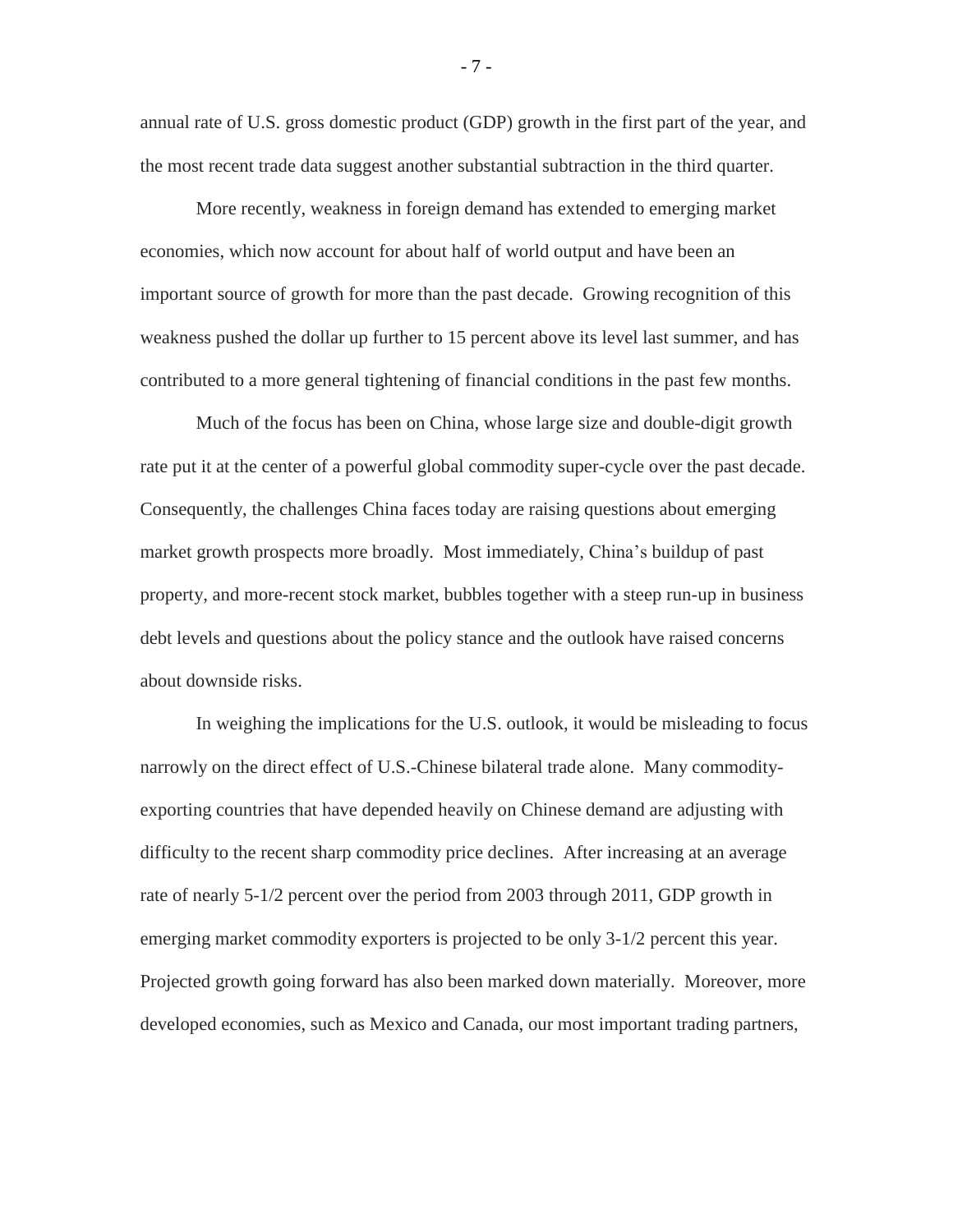annual rate of U.S. gross domestic product (GDP) growth in the first part of the year, and the most recent trade data suggest another substantial subtraction in the third quarter.

More recently, weakness in foreign demand has extended to emerging market economies, which now account for about half of world output and have been an important source of growth for more than the past decade. Growing recognition of this weakness pushed the dollar up further to 15 percent above its level last summer, and has contributed to a more general tightening of financial conditions in the past few months.

Much of the focus has been on China, whose large size and double-digit growth rate put it at the center of a powerful global commodity super-cycle over the past decade. Consequently, the challenges China faces today are raising questions about emerging market growth prospects more broadly. Most immediately, China's buildup of past property, and more-recent stock market, bubbles together with a steep run-up in business debt levels and questions about the policy stance and the outlook have raised concerns about downside risks.

In weighing the implications for the U.S. outlook, it would be misleading to focus narrowly on the direct effect of U.S.-Chinese bilateral trade alone. Many commodityexporting countries that have depended heavily on Chinese demand are adjusting with difficulty to the recent sharp commodity price declines. After increasing at an average rate of nearly 5-1/2 percent over the period from 2003 through 2011, GDP growth in emerging market commodity exporters is projected to be only 3-1/2 percent this year. Projected growth going forward has also been marked down materially. Moreover, more developed economies, such as Mexico and Canada, our most important trading partners,

- 7 -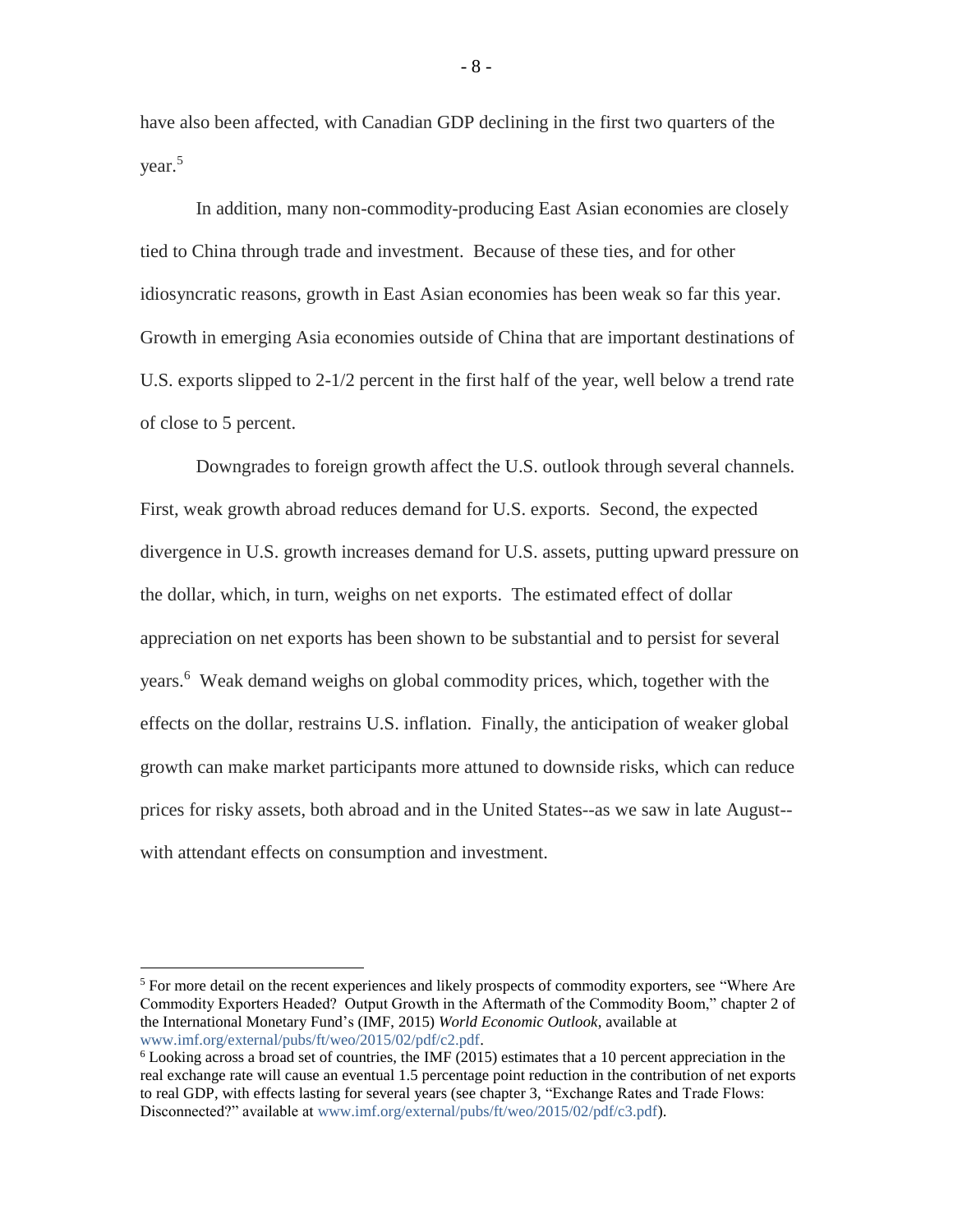have also been affected, with Canadian GDP declining in the first two quarters of the year.<sup>5</sup>

In addition, many non-commodity-producing East Asian economies are closely tied to China through trade and investment. Because of these ties, and for other idiosyncratic reasons, growth in East Asian economies has been weak so far this year. Growth in emerging Asia economies outside of China that are important destinations of U.S. exports slipped to 2-1/2 percent in the first half of the year, well below a trend rate of close to 5 percent.

Downgrades to foreign growth affect the U.S. outlook through several channels. First, weak growth abroad reduces demand for U.S. exports. Second, the expected divergence in U.S. growth increases demand for U.S. assets, putting upward pressure on the dollar, which, in turn, weighs on net exports. The estimated effect of dollar appreciation on net exports has been shown to be substantial and to persist for several years. 6 Weak demand weighs on global commodity prices, which, together with the effects on the dollar, restrains U.S. inflation. Finally, the anticipation of weaker global growth can make market participants more attuned to downside risks, which can reduce prices for risky assets, both abroad and in the United States--as we saw in late August- with attendant effects on consumption and investment.

 $\overline{a}$ 

- 8 -

<sup>&</sup>lt;sup>5</sup> For more detail on the recent experiences and likely prospects of commodity exporters, see "Where Are Commodity Exporters Headed? Output Growth in the Aftermath of the Commodity Boom," chapter 2 of the International Monetary Fund's (IMF, 2015) *World Economic Outlook*, available at [www.imf.org/external/pubs/ft/weo/2015/02/pdf/c2.pdf.](http://www.imf.org/external/pubs/ft/weo/2015/02/pdf/c2.pdf)

 $6$  Looking across a broad set of countries, the IMF (2015) estimates that a 10 percent appreciation in the real exchange rate will cause an eventual 1.5 percentage point reduction in the contribution of net exports to real GDP, with effects lasting for several years (see chapter 3, "Exchange Rates and Trade Flows: Disconnected?" available at [www.imf.org/external/pubs/ft/weo/2015/02/pdf/c3.pdf\)](http://www.imf.org/external/pubs/ft/weo/2015/02/pdf/c3.pdf).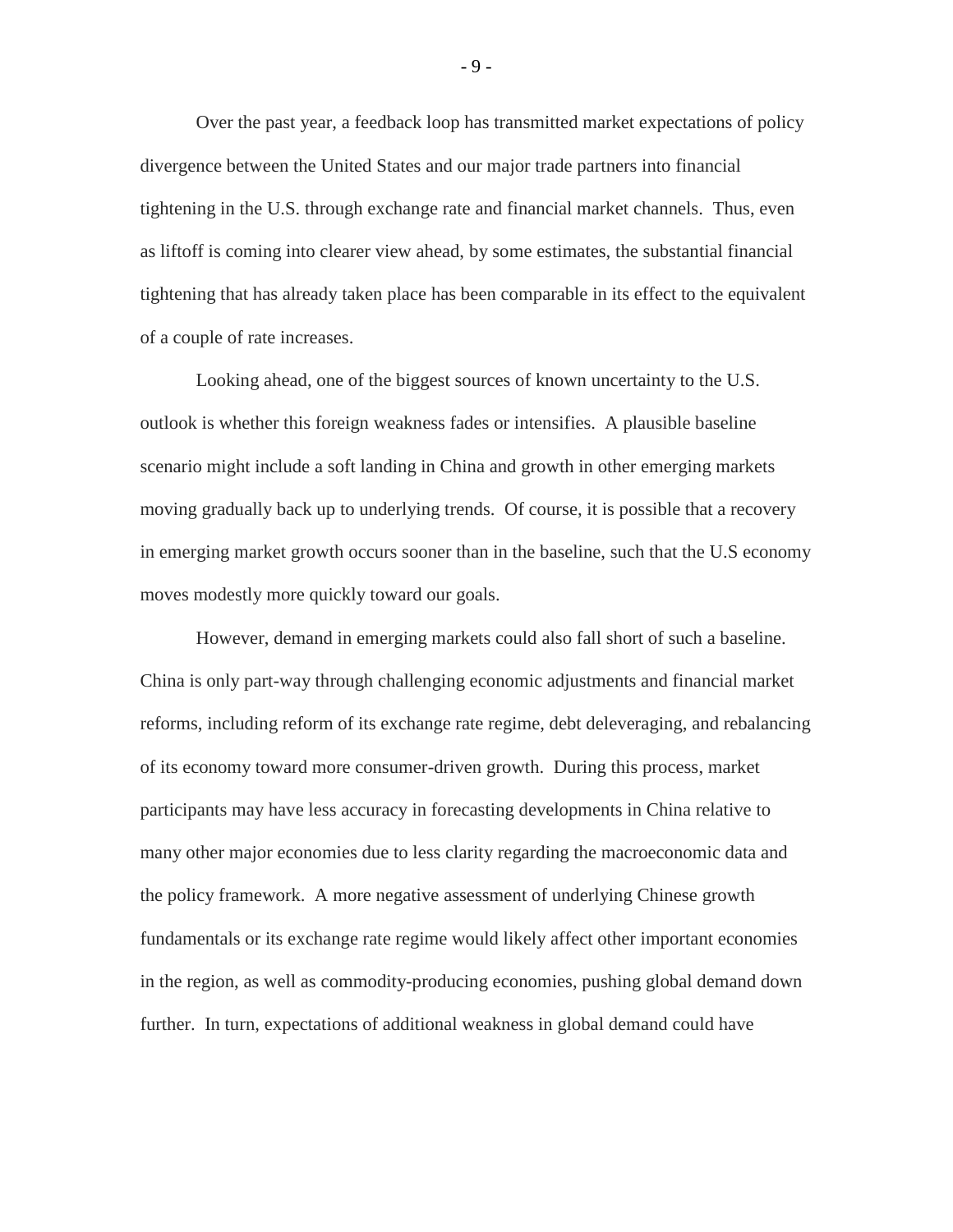Over the past year, a feedback loop has transmitted market expectations of policy divergence between the United States and our major trade partners into financial tightening in the U.S. through exchange rate and financial market channels. Thus, even as liftoff is coming into clearer view ahead, by some estimates, the substantial financial tightening that has already taken place has been comparable in its effect to the equivalent of a couple of rate increases.

Looking ahead, one of the biggest sources of known uncertainty to the U.S. outlook is whether this foreign weakness fades or intensifies. A plausible baseline scenario might include a soft landing in China and growth in other emerging markets moving gradually back up to underlying trends. Of course, it is possible that a recovery in emerging market growth occurs sooner than in the baseline, such that the U.S economy moves modestly more quickly toward our goals.

However, demand in emerging markets could also fall short of such a baseline. China is only part-way through challenging economic adjustments and financial market reforms, including reform of its exchange rate regime, debt deleveraging, and rebalancing of its economy toward more consumer-driven growth. During this process, market participants may have less accuracy in forecasting developments in China relative to many other major economies due to less clarity regarding the macroeconomic data and the policy framework. A more negative assessment of underlying Chinese growth fundamentals or its exchange rate regime would likely affect other important economies in the region, as well as commodity-producing economies, pushing global demand down further. In turn, expectations of additional weakness in global demand could have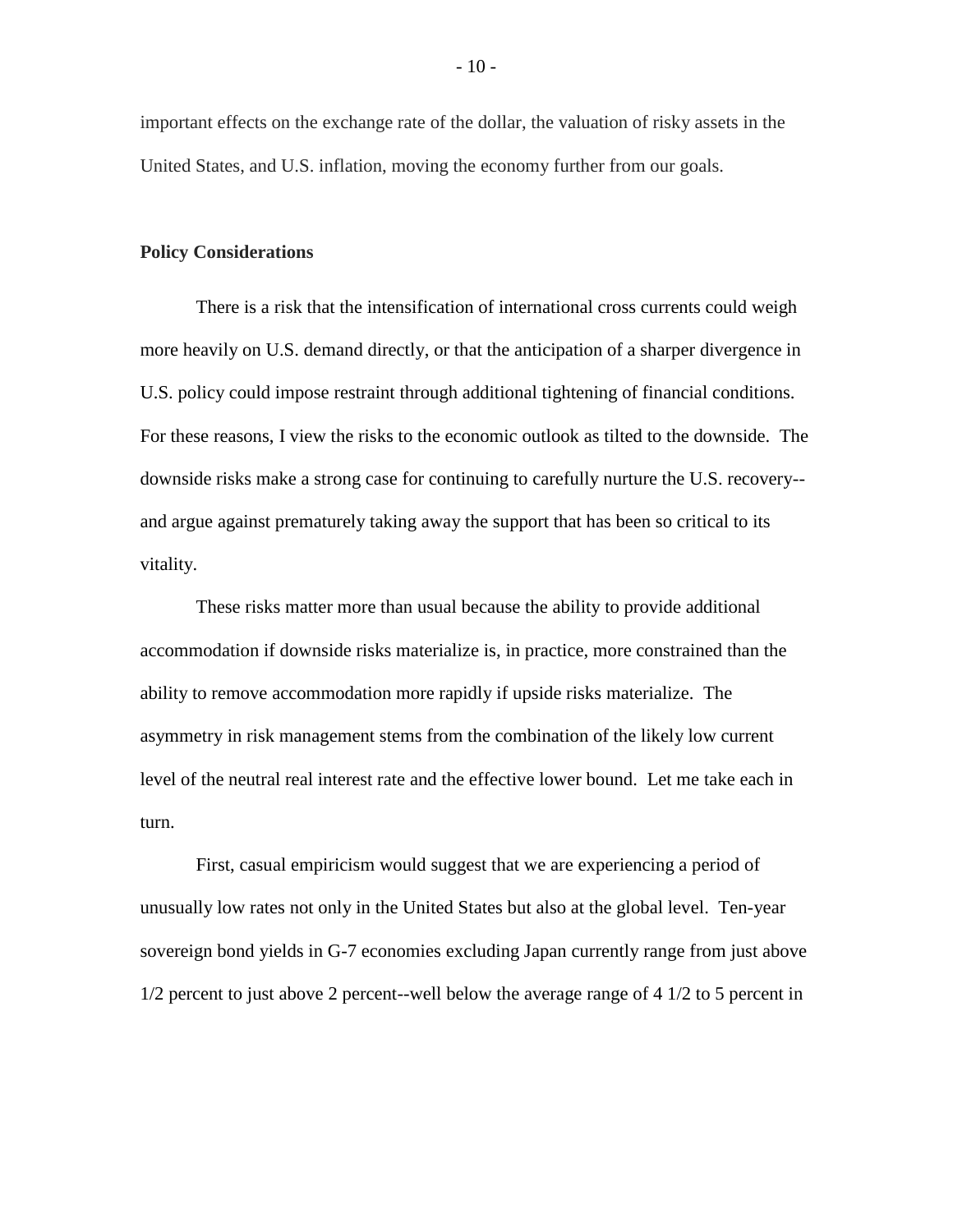important effects on the exchange rate of the dollar, the valuation of risky assets in the United States, and U.S. inflation, moving the economy further from our goals.

## **Policy Considerations**

There is a risk that the intensification of international cross currents could weigh more heavily on U.S. demand directly, or that the anticipation of a sharper divergence in U.S. policy could impose restraint through additional tightening of financial conditions. For these reasons, I view the risks to the economic outlook as tilted to the downside. The downside risks make a strong case for continuing to carefully nurture the U.S. recovery- and argue against prematurely taking away the support that has been so critical to its vitality.

These risks matter more than usual because the ability to provide additional accommodation if downside risks materialize is, in practice, more constrained than the ability to remove accommodation more rapidly if upside risks materialize. The asymmetry in risk management stems from the combination of the likely low current level of the neutral real interest rate and the effective lower bound. Let me take each in turn.

First, casual empiricism would suggest that we are experiencing a period of unusually low rates not only in the United States but also at the global level. Ten-year sovereign bond yields in G-7 economies excluding Japan currently range from just above 1/2 percent to just above 2 percent--well below the average range of 4 1/2 to 5 percent in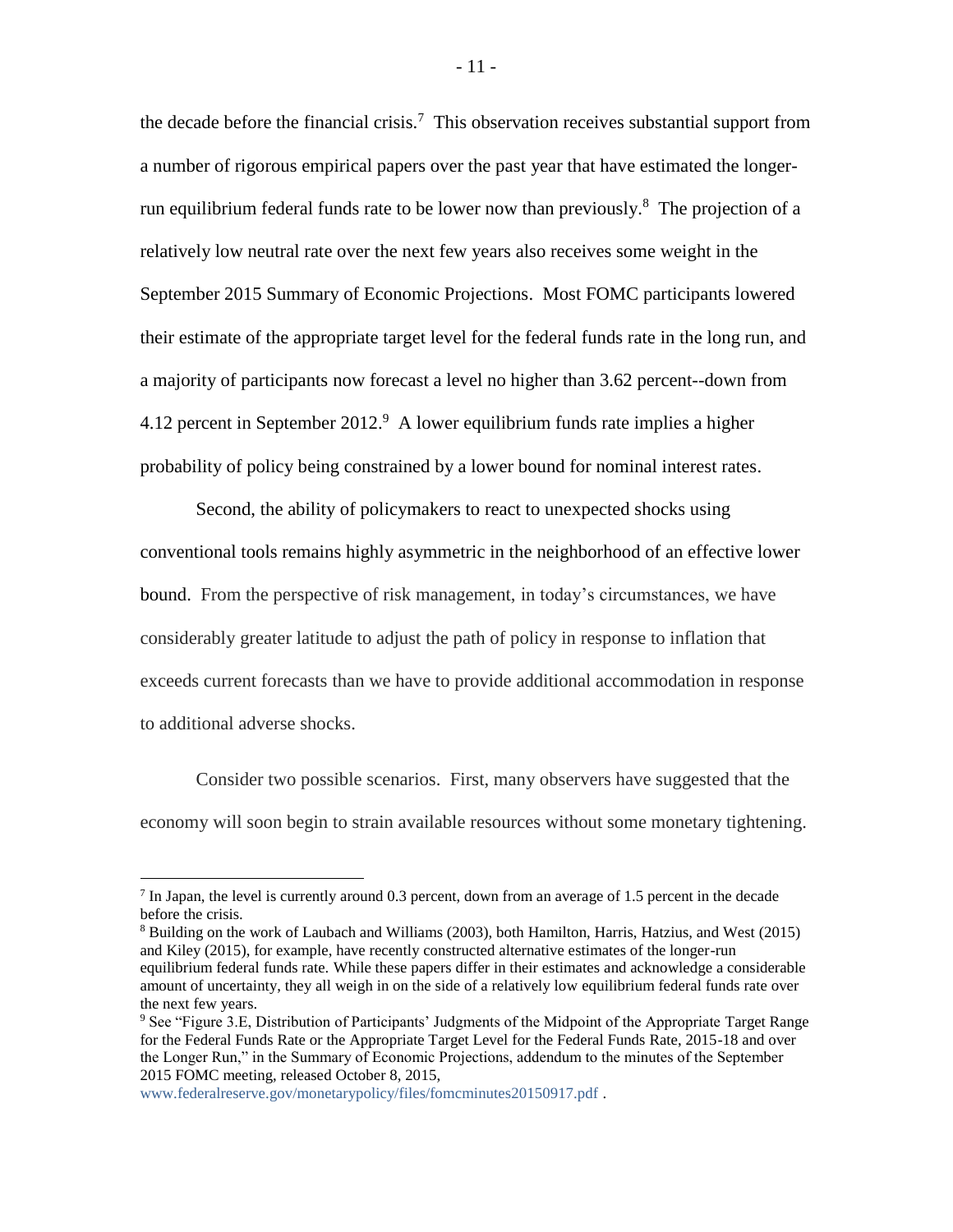the decade before the financial crisis.<sup>7</sup> This observation receives substantial support from a number of rigorous empirical papers over the past year that have estimated the longerrun equilibrium federal funds rate to be lower now than previously.<sup>8</sup> The projection of a relatively low neutral rate over the next few years also receives some weight in the September 2015 Summary of Economic Projections. Most FOMC participants lowered their estimate of the appropriate target level for the federal funds rate in the long run, and a majority of participants now forecast a level no higher than 3.62 percent--down from 4.12 percent in September 2012. 9 A lower equilibrium funds rate implies a higher probability of policy being constrained by a lower bound for nominal interest rates.

Second, the ability of policymakers to react to unexpected shocks using conventional tools remains highly asymmetric in the neighborhood of an effective lower bound. From the perspective of risk management, in today's circumstances, we have considerably greater latitude to adjust the path of policy in response to inflation that exceeds current forecasts than we have to provide additional accommodation in response to additional adverse shocks.

Consider two possible scenarios. First, many observers have suggested that the economy will soon begin to strain available resources without some monetary tightening.

 $\overline{a}$ 

<sup>&</sup>lt;sup>7</sup> In Japan, the level is currently around 0.3 percent, down from an average of 1.5 percent in the decade before the crisis.

<sup>8</sup> Building on the work of Laubach and Williams (2003), both Hamilton, Harris, Hatzius, and West (2015) and Kiley (2015), for example, have recently constructed alternative estimates of the longer-run equilibrium federal funds rate. While these papers differ in their estimates and acknowledge a considerable amount of uncertainty, they all weigh in on the side of a relatively low equilibrium federal funds rate over the next few years.

<sup>9</sup> See "Figure 3.E, Distribution of Participants' Judgments of the Midpoint of the Appropriate Target Range for the Federal Funds Rate or the Appropriate Target Level for the Federal Funds Rate, 2015-18 and over the Longer Run," in the Summary of Economic Projections, addendum to the minutes of the September 2015 FOMC meeting, released October 8, 2015,

[www.federalreserve.gov/monetarypolicy/files/fomcminutes20150917.pdf](http://www.federalreserve.gov/monetarypolicy/files/fomcminutes20150917.pdf) .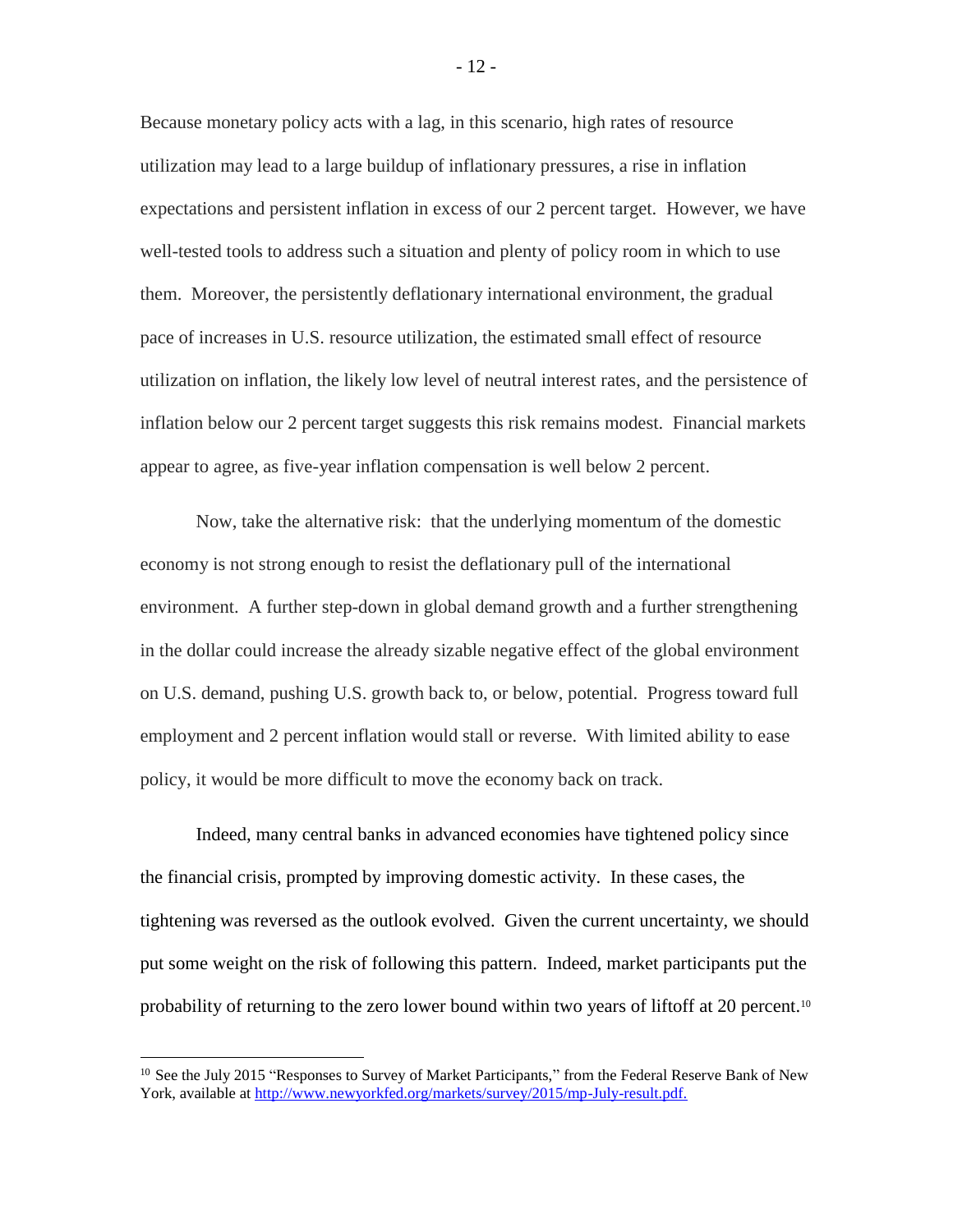Because monetary policy acts with a lag, in this scenario, high rates of resource utilization may lead to a large buildup of inflationary pressures, a rise in inflation expectations and persistent inflation in excess of our 2 percent target. However, we have well-tested tools to address such a situation and plenty of policy room in which to use them. Moreover, the persistently deflationary international environment, the gradual pace of increases in U.S. resource utilization, the estimated small effect of resource utilization on inflation, the likely low level of neutral interest rates, and the persistence of inflation below our 2 percent target suggests this risk remains modest. Financial markets appear to agree, as five-year inflation compensation is well below 2 percent.

Now, take the alternative risk: that the underlying momentum of the domestic economy is not strong enough to resist the deflationary pull of the international environment. A further step-down in global demand growth and a further strengthening in the dollar could increase the already sizable negative effect of the global environment on U.S. demand, pushing U.S. growth back to, or below, potential. Progress toward full employment and 2 percent inflation would stall or reverse. With limited ability to ease policy, it would be more difficult to move the economy back on track.

Indeed, many central banks in advanced economies have tightened policy since the financial crisis, prompted by improving domestic activity. In these cases, the tightening was reversed as the outlook evolved. Given the current uncertainty, we should put some weight on the risk of following this pattern. Indeed, market participants put the probability of returning to the zero lower bound within two years of liftoff at 20 percent.<sup>10</sup>

 $\overline{a}$ 

<sup>&</sup>lt;sup>10</sup> See the July 2015 "Responses to Survey of Market Participants," from the Federal Reserve Bank of New York, available at [http://www.newyorkfed.org/markets/survey/2015/mp-July-result.pdf.](http://www.newyorkfed.org/markets/survey/2015/mp-July-result.pdf)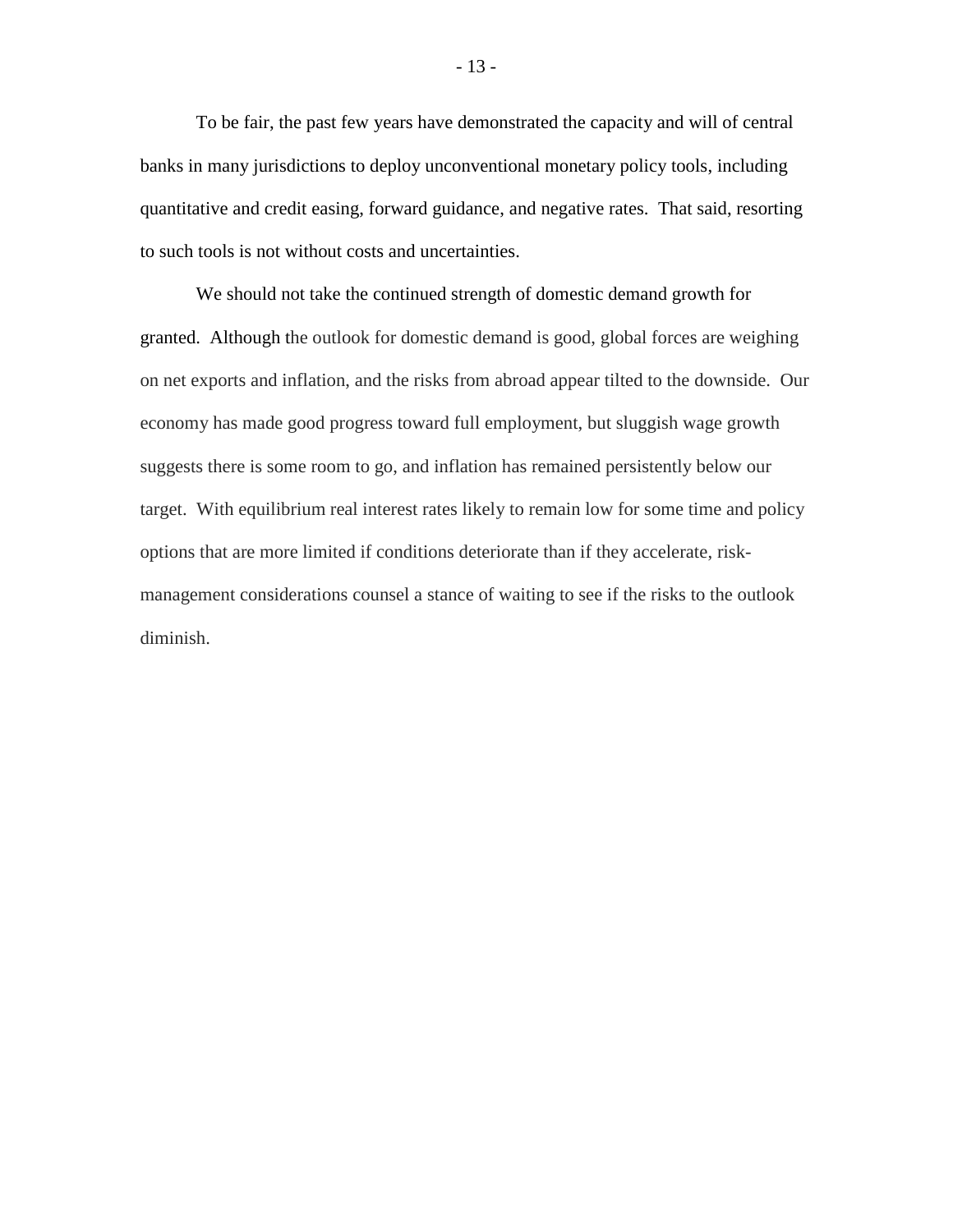To be fair, the past few years have demonstrated the capacity and will of central banks in many jurisdictions to deploy unconventional monetary policy tools, including quantitative and credit easing, forward guidance, and negative rates. That said, resorting to such tools is not without costs and uncertainties.

We should not take the continued strength of domestic demand growth for granted. Although the outlook for domestic demand is good, global forces are weighing on net exports and inflation, and the risks from abroad appear tilted to the downside. Our economy has made good progress toward full employment, but sluggish wage growth suggests there is some room to go, and inflation has remained persistently below our target. With equilibrium real interest rates likely to remain low for some time and policy options that are more limited if conditions deteriorate than if they accelerate, riskmanagement considerations counsel a stance of waiting to see if the risks to the outlook diminish.